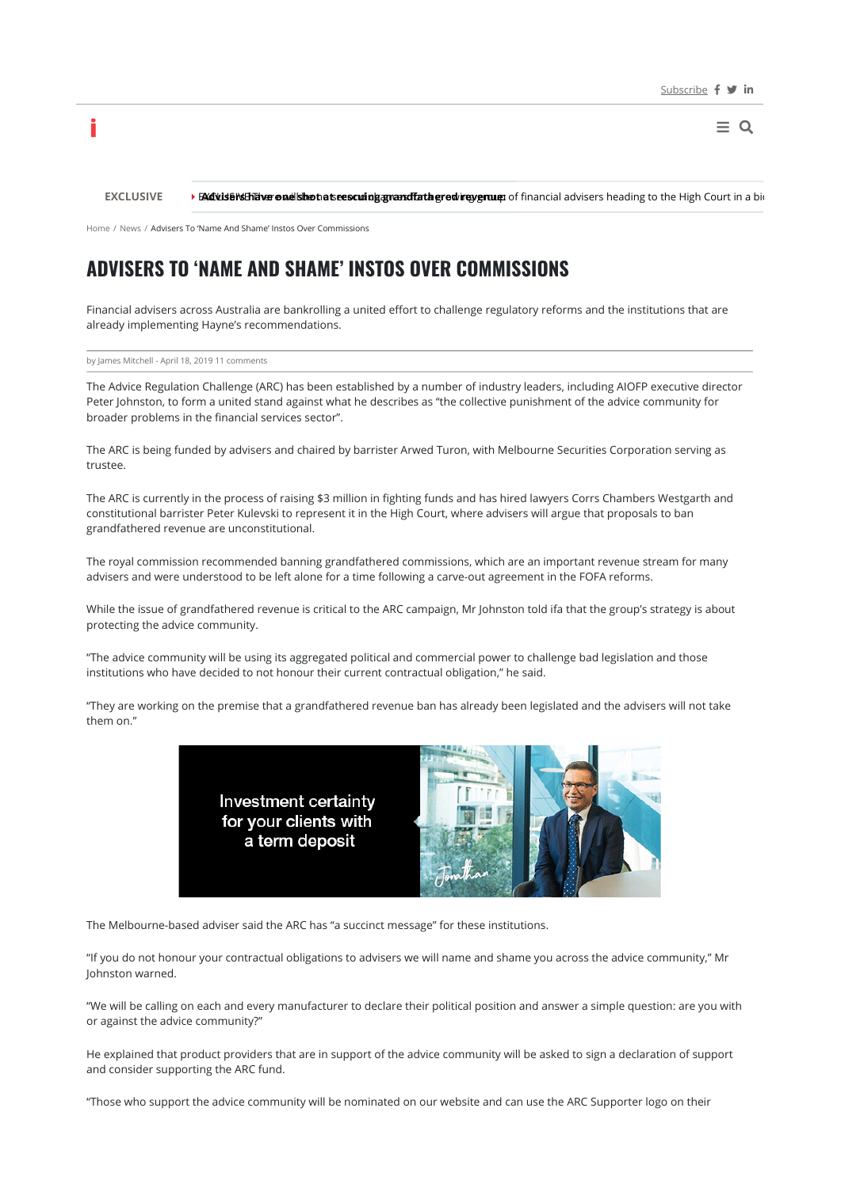$\equiv$  Q

**EXCLUSIVE > BX Culs BYSE That are nuclished to see scuing grandfathered revenue:** of financial advisers heading to the High Court in a bid

Home / News / Advisers To 'Name And Shame' Instos Over Commissions

# **ADVISERS TO 'NAME AND SHAME' INSTOS OVER COMMISSIONS**

Financial advisers across Australia are bankrolling a united effort to challenge regulatory reforms and the institutions that are already implementing Hayne's recommendations.

by James Mitchell - April 18, 2019 11 comments

i

The Advice Regulation Challenge (ARC) has been established by a number of industry leaders, including AIOFP executive director Peter Johnston, to form a united stand against what he describes as "the collective punishment of the advice community for broader problems in the financial services sector".

The ARC is being funded by advisers and chaired by barrister Arwed Turon, with Melbourne Securities Corporation serving as trustee.

The ARC is currently in the process of raising \$3 million in fighting funds and has hired lawyers Corrs Chambers Westgarth and constitutional barrister Peter Kulevski to represent it in the High Court, where advisers will argue that proposals to ban grandfathered revenue are unconstitutional.

The royal commission recommended banning grandfathered commissions, which are an important revenue stream for many advisers and were understood to be left alone for a time following a carve-out agreement in the FOFA reforms.

While the issue of grandfathered revenue is critical to the ARC campaign, Mr Johnston told ifa that the group's strategy is about protecting the advice community.

"The advice community will be using its aggregated political and commercial power to challenge bad legislation and those institutions who have decided to not honour their current contractual obligation," he said.

"They are working on the premise that a grandfathered revenue ban has already been legislated and the advisers will not take them on."



The Melbourne-based adviser said the ARC has "a succinct message" for these institutions.

"If you do not honour your contractual obligations to advisers we will name and shame you across the advice community," Mr Johnston warned.

"We will be calling on each and every manufacturer to declare their political position and answer a simple question: are you with or against the advice community?"

He explained that product providers that are in support of the advice community will be asked to sign a declaration of support and consider supporting the ARC fund.

"Those who support the advice community will be nominated on our website and can use the ARC Supporter logo on their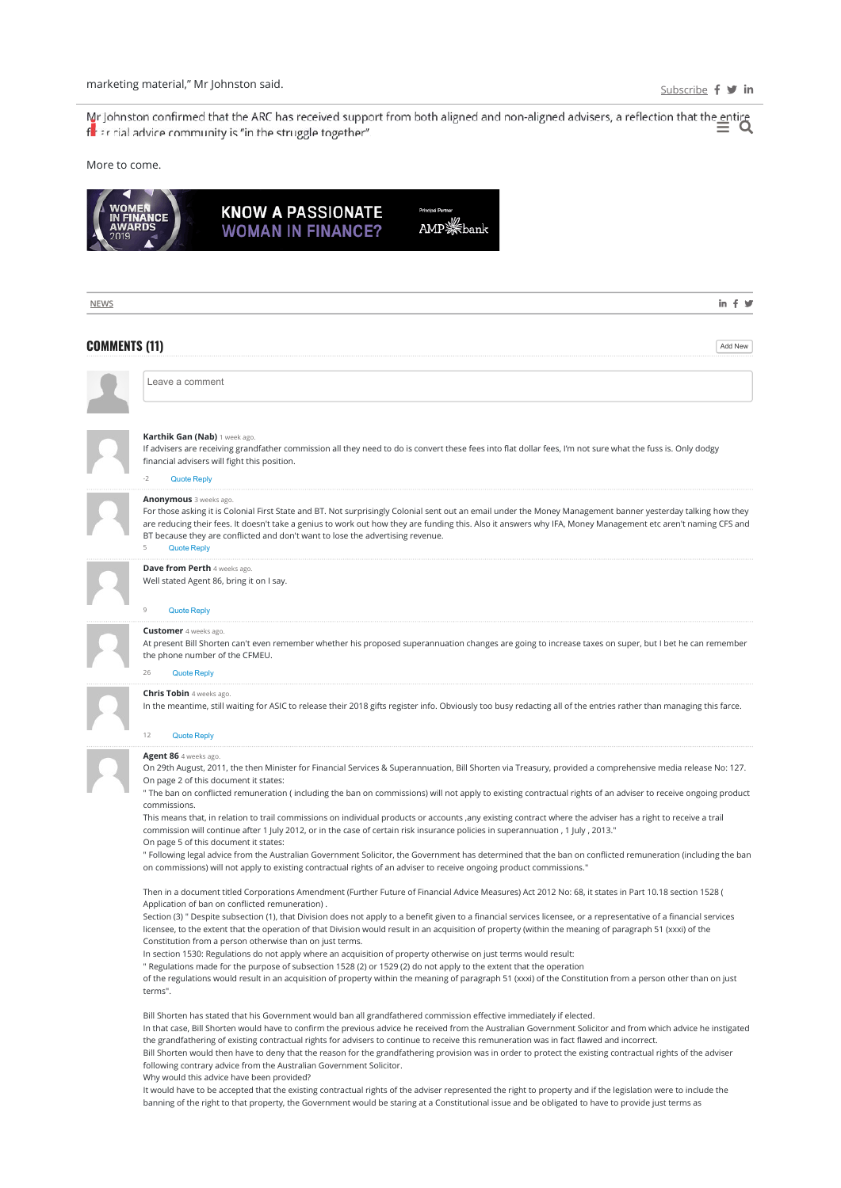Mar Johnston confirmed that the ARC has received support from both aligned and non-aligned advisers, a reflection that the entire  $\equiv \infty$ flet in cial advice community is "in the struggle together".

## More to come.



| <b>NEWS</b>          | in $f \times$                                                                                                                                                                                                                                                                                                                                                                                                                                                                                                                                                                                                                                                                                                                                                                                                                                                                                                                                                                                                                                             |
|----------------------|-----------------------------------------------------------------------------------------------------------------------------------------------------------------------------------------------------------------------------------------------------------------------------------------------------------------------------------------------------------------------------------------------------------------------------------------------------------------------------------------------------------------------------------------------------------------------------------------------------------------------------------------------------------------------------------------------------------------------------------------------------------------------------------------------------------------------------------------------------------------------------------------------------------------------------------------------------------------------------------------------------------------------------------------------------------|
| <b>COMMENTS (11)</b> | Add New                                                                                                                                                                                                                                                                                                                                                                                                                                                                                                                                                                                                                                                                                                                                                                                                                                                                                                                                                                                                                                                   |
|                      | Leave a comment                                                                                                                                                                                                                                                                                                                                                                                                                                                                                                                                                                                                                                                                                                                                                                                                                                                                                                                                                                                                                                           |
|                      | Karthik Gan (Nab) 1 week ago.<br>If advisers are receiving grandfather commission all they need to do is convert these fees into flat dollar fees, I'm not sure what the fuss is. Only dodgy<br>financial advisers will fight this position.<br>-2<br><b>Quote Reply</b>                                                                                                                                                                                                                                                                                                                                                                                                                                                                                                                                                                                                                                                                                                                                                                                  |
|                      | <b>Anonymous</b> 3 weeks ago.<br>For those asking it is Colonial First State and BT. Not surprisingly Colonial sent out an email under the Money Management banner yesterday talking how they<br>are reducing their fees. It doesn't take a genius to work out how they are funding this. Also it answers why IFA, Money Management etc aren't naming CFS and<br>BT because they are conflicted and don't want to lose the advertising revenue.<br>5<br><b>Quote Reply</b>                                                                                                                                                                                                                                                                                                                                                                                                                                                                                                                                                                                |
|                      | <b>Dave from Perth</b> 4 weeks ago.<br>Well stated Agent 86, bring it on I say.<br>9<br><b>Quote Reply</b>                                                                                                                                                                                                                                                                                                                                                                                                                                                                                                                                                                                                                                                                                                                                                                                                                                                                                                                                                |
|                      | <b>Customer</b> 4 weeks ago.<br>At present Bill Shorten can't even remember whether his proposed superannuation changes are going to increase taxes on super, but I bet he can remember<br>the phone number of the CFMEU.<br><b>Quote Reply</b><br>26                                                                                                                                                                                                                                                                                                                                                                                                                                                                                                                                                                                                                                                                                                                                                                                                     |
|                      | <b>Chris Tobin</b> 4 weeks ago.<br>In the meantime, still waiting for ASIC to release their 2018 gifts register info. Obviously too busy redacting all of the entries rather than managing this farce.<br>12<br><b>Quote Reply</b>                                                                                                                                                                                                                                                                                                                                                                                                                                                                                                                                                                                                                                                                                                                                                                                                                        |
|                      | <b>Agent 86</b> 4 weeks ago.<br>On 29th August, 2011, the then Minister for Financial Services & Superannuation, Bill Shorten via Treasury, provided a comprehensive media release No: 127.<br>On page 2 of this document it states:<br>" The ban on conflicted remuneration (including the ban on commissions) will not apply to existing contractual rights of an adviser to receive ongoing product<br>commissions.<br>This means that, in relation to trail commissions on individual products or accounts ,any existing contract where the adviser has a right to receive a trail<br>commission will continue after 1 July 2012, or in the case of certain risk insurance policies in superannuation, 1 July, 2013."<br>On page 5 of this document it states:<br>" Following legal advice from the Australian Government Solicitor, the Government has determined that the ban on conflicted remuneration (including the ban<br>on commissions) will not apply to existing contractual rights of an adviser to receive ongoing product commissions." |
|                      | Then in a document titled Corporations Amendment (Further Future of Financial Advice Measures) Act 2012 No: 68, it states in Part 10.18 section 1528 (<br>Application of ban on conflicted remuneration).<br>Section (3) " Despite subsection (1), that Division does not apply to a benefit given to a financial services licensee, or a representative of a financial services<br>licensee, to the extent that the operation of that Division would result in an acquisition of property (within the meaning of paragraph 51 (xxxi) of the<br>Constitution from a person otherwise than on just terms.<br>In section 1530: Regulations do not apply where an acquisition of property otherwise on just terms would result:<br>" Regulations made for the purpose of subsection 1528 (2) or 1529 (2) do not apply to the extent that the operation<br>of the regulations would result in an acquisition of property within the meaning of paragraph 51 (xxxi) of the Constitution from a person other than on just<br>terms".                            |
|                      | Bill Shorten has stated that his Government would ban all grandfathered commission effective immediately if elected.<br>In that case, Bill Shorten would have to confirm the previous advice he received from the Australian Government Solicitor and from which advice he instigated<br>the grandfathering of existing contractual rights for advisers to continue to receive this remuneration was in fact flawed and incorrect.<br>Bill Shorten would then have to deny that the reason for the grandfathering provision was in order to protect the existing contractual rights of the adviser<br>following contrary advice from the Australian Government Solicitor.<br>Why would this advice have been provided?<br>It would have to be accepted that the existing contractual rights of the adviser represented the right to property and if the legislation were to include the<br>banning of the right to that property, the Government would be staring at a Constitutional issue and be obligated to have to provide just terms as             |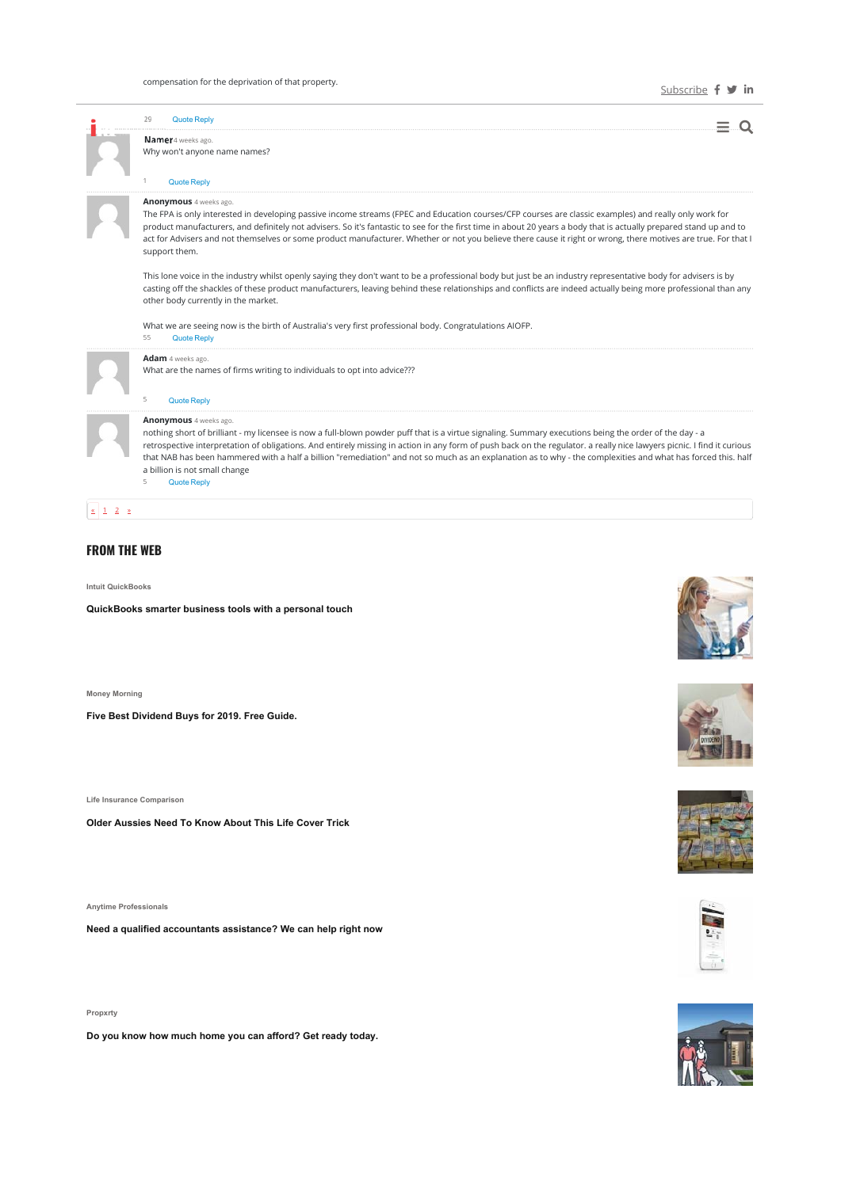|  | <b>Quote Reply</b>                                                                                                                                                                                                                                                                                                                                                                                                                                                                                                                                                                            |
|--|-----------------------------------------------------------------------------------------------------------------------------------------------------------------------------------------------------------------------------------------------------------------------------------------------------------------------------------------------------------------------------------------------------------------------------------------------------------------------------------------------------------------------------------------------------------------------------------------------|
|  | Namer 4 weeks ago.<br>Why won't anyone name names?                                                                                                                                                                                                                                                                                                                                                                                                                                                                                                                                            |
|  | <b>Quote Reply</b>                                                                                                                                                                                                                                                                                                                                                                                                                                                                                                                                                                            |
|  | <b>Anonymous</b> 4 weeks ago.<br>The FPA is only interested in developing passive income streams (FPEC and Education courses/CFP courses are classic examples) and really only work for<br>product manufacturers, and definitely not advisers. So it's fantastic to see for the first time in about 20 years a body that is actually prepared stand up and to<br>act for Advisers and not themselves or some product manufacturer. Whether or not you believe there cause it right or wrong, there motives are true. For that I<br>support them.                                              |
|  | This lone voice in the industry whilst openly saying they don't want to be a professional body but just be an industry representative body for advisers is by<br>casting off the shackles of these product manufacturers, leaving behind these relationships and conflicts are indeed actually being more professional than any<br>other body currently in the market.                                                                                                                                                                                                                        |
|  | What we are seeing now is the birth of Australia's very first professional body. Congratulations AIOFP.<br>55<br>Quote Reply                                                                                                                                                                                                                                                                                                                                                                                                                                                                  |
|  | Adam 4 weeks ago.<br>What are the names of firms writing to individuals to opt into advice???                                                                                                                                                                                                                                                                                                                                                                                                                                                                                                 |
|  | <b>Quote Reply</b><br>5                                                                                                                                                                                                                                                                                                                                                                                                                                                                                                                                                                       |
|  | <b>Anonymous</b> 4 weeks ago.<br>nothing short of brilliant - my licensee is now a full-blown powder puff that is a virtue signaling. Summary executions being the order of the day - a<br>retrospective interpretation of obligations. And entirely missing in action in any form of push back on the regulator. a really nice lawyers picnic. I find it curious<br>that NAB has been hammered with a half a billion "remediation" and not so much as an explanation as to why - the complexities and what has forced this, half<br>a billion is not small change<br>5<br><b>Quote Reply</b> |

# $\begin{array}{|c|c|c|c|}\n\hline\n\text{S} & \text{1} & \text{2} & \text{2}\n\end{array}$

## **FROM THE WEB**

**Intuit QuickBooks**

**QuickBooks smarter business tools with a personal touch**

**Money Morning** 

**Five Best Dividend Buys for 2019. Free Guide.** 

**Life Insurance Comparison**

**Older Aussies Need To Know About This Life Cover Trick**

**Anytime Professionals**

**Need a qualified accountants assistance? We can help right now**

**Propxrty**

**Do you know how much home you can afford? Get ready today.** 









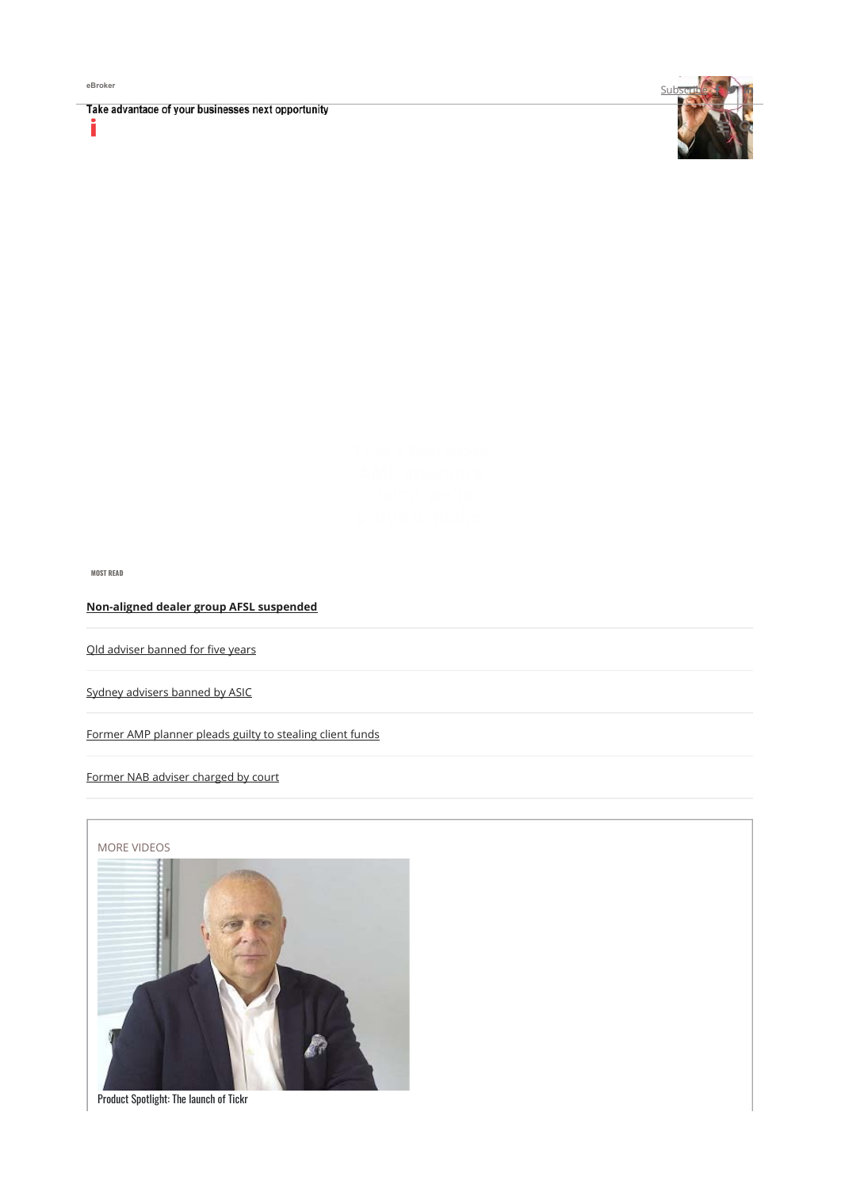Ĭ

Take advantage of your businesses next opportunity



**MOST READ**

**Non-aligned dealer group AFSL suspended** 

Qld adviser banned for five years

Sydney advisers banned by ASIC

Former AMP planner pleads guilty to stealing client funds

Former NAB adviser charged by court



Product Spotlight: The launch of Tickr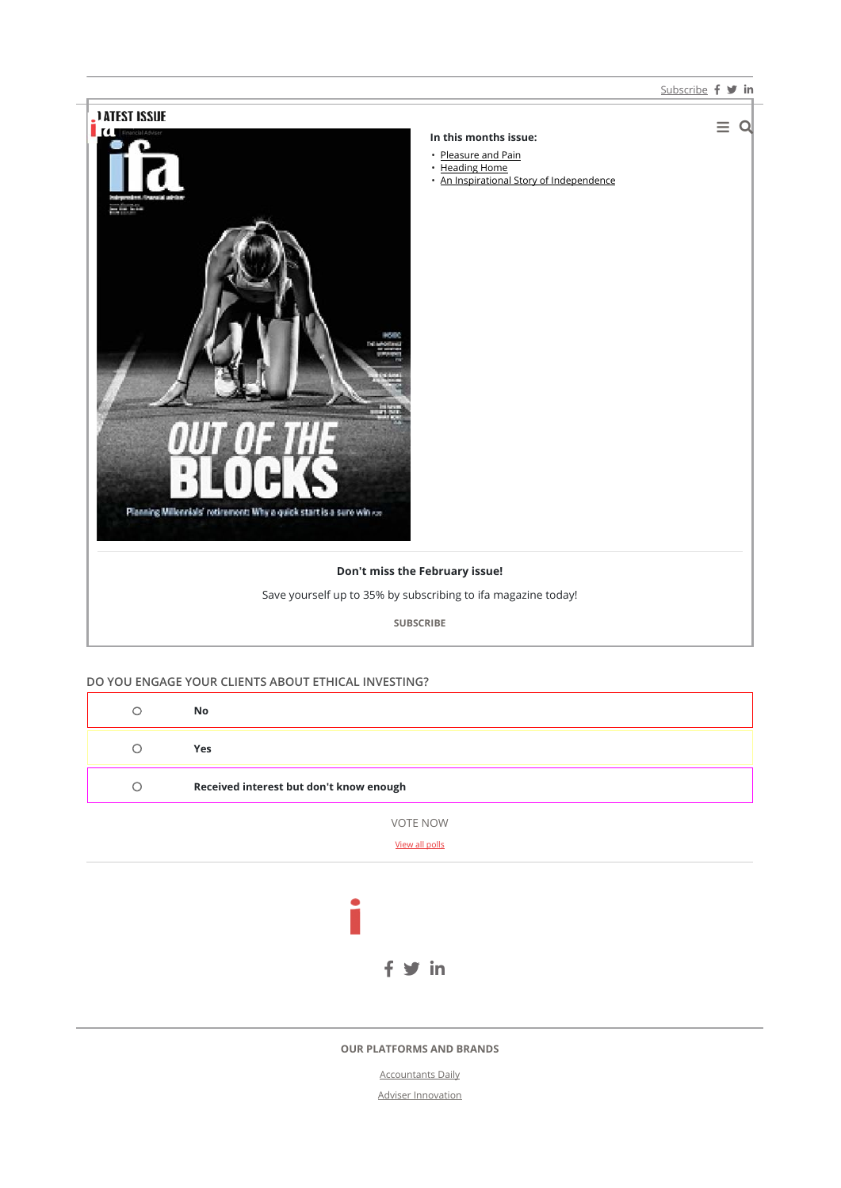#### Subscribe f **v** in



## **DO YOU ENGAGE YOUR CLIENTS ABOUT ETHICAL INVESTING?**

| $\circ$ | No                                      |  |  |  |  |  |  |
|---------|-----------------------------------------|--|--|--|--|--|--|
| $\circ$ | Yes                                     |  |  |  |  |  |  |
| $\circ$ | Received interest but don't know enough |  |  |  |  |  |  |
|         | VOTE NOW<br>View all polls              |  |  |  |  |  |  |
|         |                                         |  |  |  |  |  |  |
|         | in                                      |  |  |  |  |  |  |

#### **OUR PLATFORMS AND BRANDS**

Accountants Daily Adviser Innovation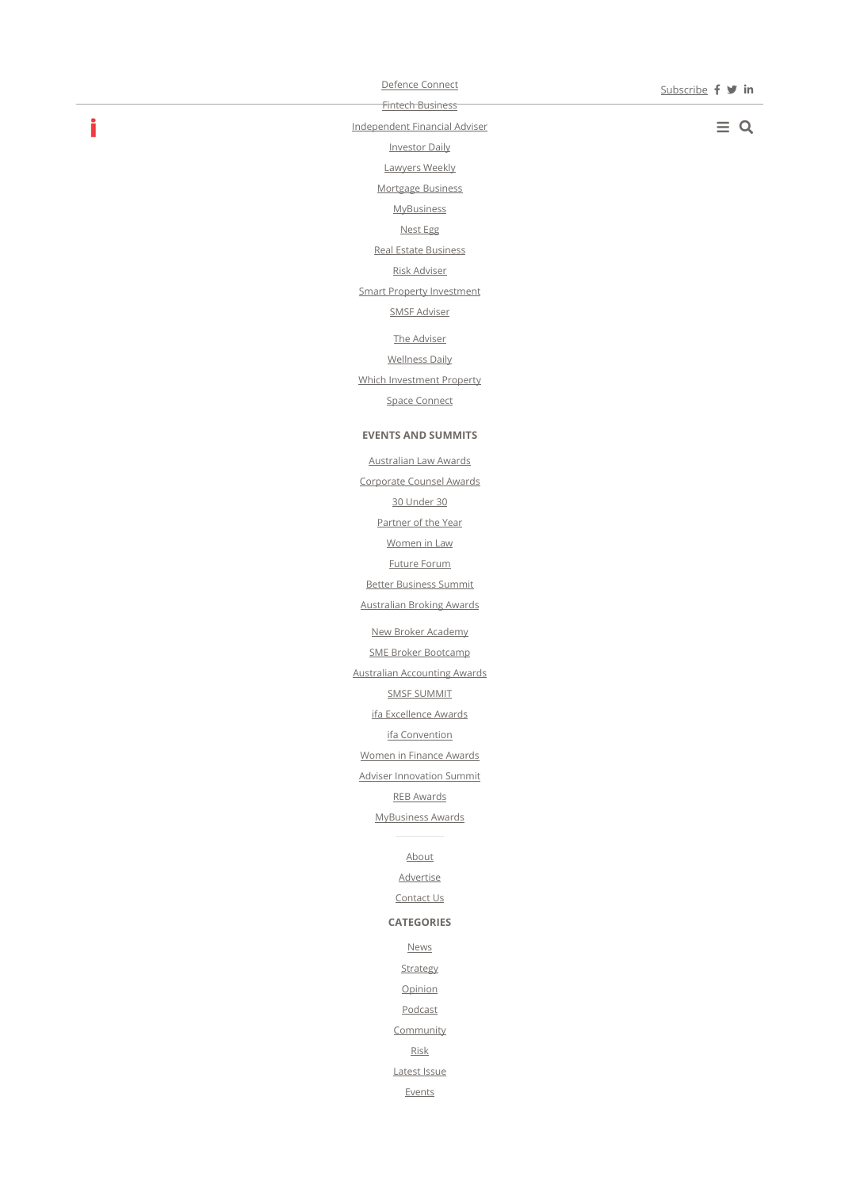Defence Connect Fintech Business

Independent Financial Adviser Investor Daily Lawyers Weekly Mortgage Business **MyBusiness** Nest Egg Real Estate Business Risk Adviser Smart Property Investment SMSF Adviser The Adviser Wellness Daily Which Investment Property Space Connect

**EVENTS AND SUMMITS**  Australian Law Awards Corporate Counsel Awards 30 Under 30 Partner of the Year Women in Law Future Forum Better Business Summit Australian Broking Awards New Broker Academy SME Broker Bootcamp Australian Accounting Awards SMSF SUMMIT ifa Excellence Awards ifa Convention Women in Finance Awards Adviser Innovation Summit REB Awards MyBusiness Awards

> About Advertise Contact Us **CATEGORIES News Strategy Opinion** Podcast **Community** Risk Latest Issue Events

 $\equiv$  Q

# i